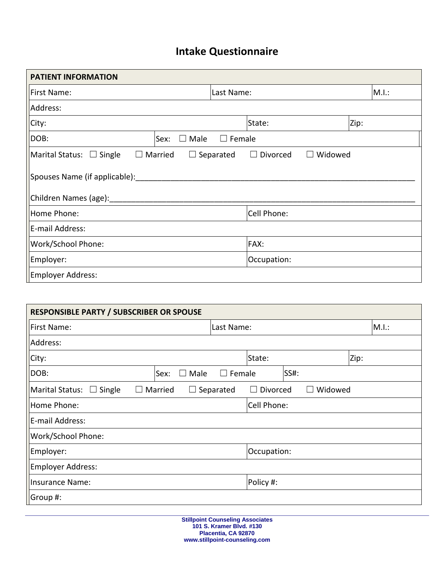## **Intake Questionnaire**

| <b>PATIENT INFORMATION</b>                                     |                                              |       |  |
|----------------------------------------------------------------|----------------------------------------------|-------|--|
| First Name:                                                    | Last Name:                                   | M.I.: |  |
| Address:                                                       |                                              |       |  |
| City:                                                          | State:                                       | Zip:  |  |
| DOB:<br>Male<br>Sex:<br>$\Box$                                 | $\Box$ Female                                |       |  |
| $\blacksquare$ Marital Status: $\Box$ Single<br>$\Box$ Married | Widowed<br>Divorced<br>$\Box$ Separated<br>⊔ |       |  |
| Spouses Name (if applicable):                                  |                                              |       |  |
| Children Names (age):                                          |                                              |       |  |
| Home Phone:                                                    | Cell Phone:                                  |       |  |
| E-mail Address:                                                |                                              |       |  |
| Work/School Phone:                                             | FAX:                                         |       |  |
| Employer:                                                      | Occupation:                                  |       |  |
| Employer Address:                                              |                                              |       |  |

| <b>RESPONSIBLE PARTY / SUBSCRIBER OR SPOUSE</b>   |                   |                  |             |         |       |
|---------------------------------------------------|-------------------|------------------|-------------|---------|-------|
| <b>First Name:</b>                                |                   | Last Name:       |             |         | M.I.: |
| Address:                                          |                   |                  |             |         |       |
| City:                                             |                   |                  | State:      |         | Zip:  |
| DOB:                                              | Sex:<br>Male      | Female<br>$\Box$ |             | SS#:    |       |
| <b>Marital Status:</b><br>$\Box$ Single<br>$\Box$ | Married<br>$\Box$ | Separated        | Divorced    | Widowed |       |
| Home Phone:                                       |                   |                  | Cell Phone: |         |       |
| E-mail Address:                                   |                   |                  |             |         |       |
| Work/School Phone:                                |                   |                  |             |         |       |
| Employer:                                         |                   |                  | Occupation: |         |       |
| Employer Address:                                 |                   |                  |             |         |       |
| Insurance Name:                                   |                   |                  | Policy #:   |         |       |
| Group #:                                          |                   |                  |             |         |       |

**Stillpoint Counseling Associates 101 S. Kramer Blvd. #130 Placentia, CA 92870 www.stillpoint-counseling.com**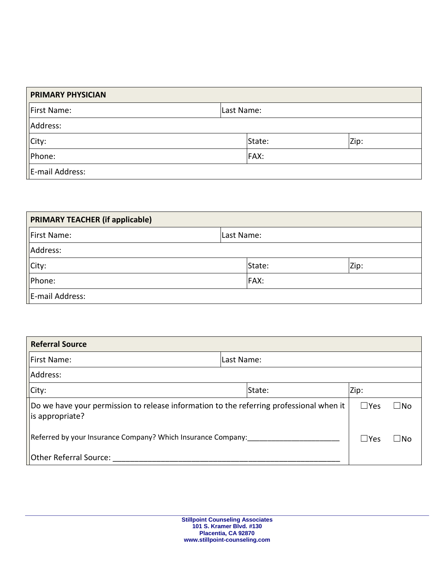| <b>PRIMARY PHYSICIAN</b> |             |      |
|--------------------------|-------------|------|
| First Name:              | Last Name:  |      |
| Address:                 |             |      |
| City:                    | State:      | Zip: |
| Phone:                   | <b>FAX:</b> |      |
| E-mail Address:          |             |      |

| <b>PRIMARY TEACHER (if applicable)</b> |             |      |
|----------------------------------------|-------------|------|
| First Name:                            | Last Name:  |      |
| Address:                               |             |      |
| $\left\vert$ City:                     | State:      | Zip: |
| Phone:                                 | <b>FAX:</b> |      |
| E-mail Address:                        |             |      |

| <b>Referral Source</b>                                                                                            |            |                               |
|-------------------------------------------------------------------------------------------------------------------|------------|-------------------------------|
| First Name:                                                                                                       | Last Name: |                               |
| Address:                                                                                                          |            |                               |
| City:                                                                                                             | State:     | Zip:                          |
| $\vert$ Do we have your permission to release information to the referring professional when it<br>s appropriate? |            | $\square$ Yes<br>$\square$ No |
| Referred by your Insurance Company? Which Insurance Company:                                                      |            | $\Box$ Yes<br>$\Box$ No       |
| Other Referral Source:                                                                                            |            |                               |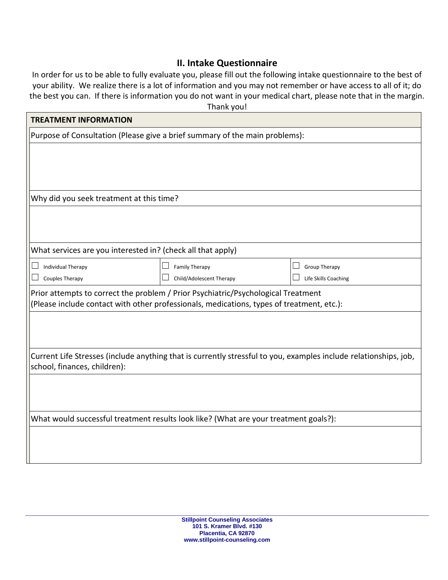### **II. Intake Questionnaire**

In order for us to be able to fully evaluate you, please fill out the following intake questionnaire to the best of your ability. We realize there is a lot of information and you may not remember or have access to all of it; do the best you can. If there is information you do not want in your medical chart, please note that in the margin.

|                                                                             | Thank you!                                                                                                       |                      |
|-----------------------------------------------------------------------------|------------------------------------------------------------------------------------------------------------------|----------------------|
| <b>TREATMENT INFORMATION</b>                                                |                                                                                                                  |                      |
| Purpose of Consultation (Please give a brief summary of the main problems): |                                                                                                                  |                      |
|                                                                             |                                                                                                                  |                      |
|                                                                             |                                                                                                                  |                      |
|                                                                             |                                                                                                                  |                      |
| Why did you seek treatment at this time?                                    |                                                                                                                  |                      |
|                                                                             |                                                                                                                  |                      |
|                                                                             |                                                                                                                  |                      |
|                                                                             |                                                                                                                  |                      |
| What services are you interested in? (check all that apply)                 |                                                                                                                  |                      |
| <b>Individual Therapy</b>                                                   | <b>Family Therapy</b>                                                                                            | <b>Group Therapy</b> |
| Couples Therapy                                                             | Child/Adolescent Therapy                                                                                         | Life Skills Coaching |
|                                                                             | Prior attempts to correct the problem / Prior Psychiatric/Psychological Treatment                                |                      |
|                                                                             | (Please include contact with other professionals, medications, types of treatment, etc.):                        |                      |
|                                                                             |                                                                                                                  |                      |
|                                                                             |                                                                                                                  |                      |
|                                                                             |                                                                                                                  |                      |
| school, finances, children):                                                | Current Life Stresses (include anything that is currently stressful to you, examples include relationships, job, |                      |
|                                                                             |                                                                                                                  |                      |
|                                                                             |                                                                                                                  |                      |
|                                                                             |                                                                                                                  |                      |
|                                                                             | What would successful treatment results look like? (What are your treatment goals?):                             |                      |
|                                                                             |                                                                                                                  |                      |
|                                                                             |                                                                                                                  |                      |
|                                                                             |                                                                                                                  |                      |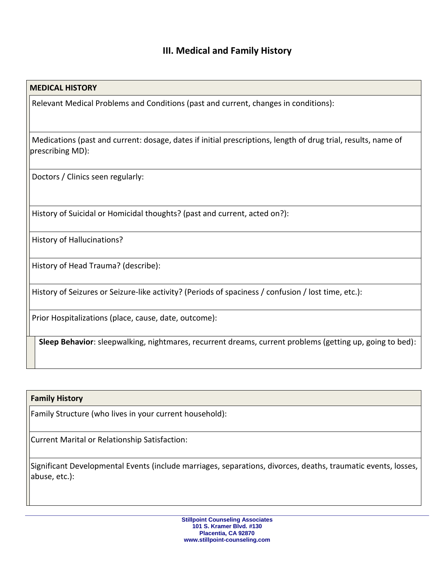## **III. Medical and Family History**

#### **MEDICAL HISTORY**

 $\overline{\phantom{a}}$ 

 $\overline{\phantom{a}}$ 

 $\overline{\phantom{a}}$ 

 $\overline{\phantom{a}}$ 

 $\overline{\phantom{a}}$ 

 $\overline{\phantom{a}}$ 

 $\overline{\phantom{a}}$ 

 $\overline{\phantom{a}}$ 

Relevant Medical Problems and Conditions (past and current, changes in conditions):

Medications (past and current: dosage, dates if initial prescriptions, length of drug trial, results, name of prescribing MD):

Doctors / Clinics seen regularly:

History of Suicidal or Homicidal thoughts? (past and current, acted on?):

History of Hallucinations?

History of Head Trauma? (describe):

History of Seizures or Seizure-like activity? (Periods of spaciness / confusion / lost time, etc.):

Prior Hospitalizations (place, cause, date, outcome):

**Sleep Behavior**: sleepwalking, nightmares, recurrent dreams, current problems (getting up, going to bed):

#### **Family History**

Family Structure (who lives in your current household):

Current Marital or Relationship Satisfaction:

Significant Developmental Events (include marriages, separations, divorces, deaths, traumatic events, losses, abuse, etc.):

> **Stillpoint Counseling Associates 101 S. Kramer Blvd. #130 Placentia, CA 92870 www.stillpoint-counseling.com**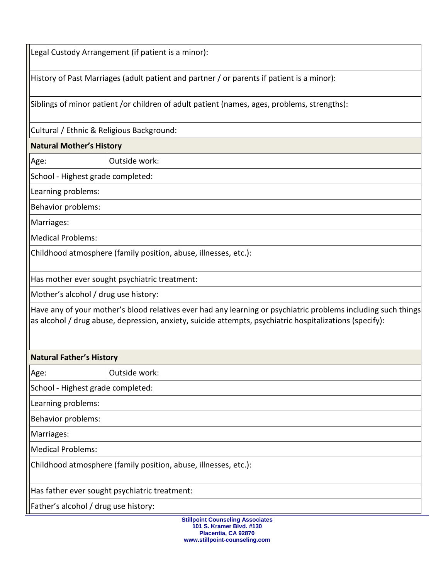| Outside work:<br>Have any of your mother's blood relatives ever had any learning or psychiatric problems including such things<br>Outside work: | Legal Custody Arrangement (if patient is a minor):                                                      |
|-------------------------------------------------------------------------------------------------------------------------------------------------|---------------------------------------------------------------------------------------------------------|
|                                                                                                                                                 | History of Past Marriages (adult patient and partner / or parents if patient is a minor):               |
|                                                                                                                                                 | Siblings of minor patient /or children of adult patient (names, ages, problems, strengths):             |
|                                                                                                                                                 | Cultural / Ethnic & Religious Background:                                                               |
|                                                                                                                                                 | <b>Natural Mother's History</b>                                                                         |
|                                                                                                                                                 | Age:                                                                                                    |
|                                                                                                                                                 | School - Highest grade completed:                                                                       |
|                                                                                                                                                 | Learning problems:                                                                                      |
|                                                                                                                                                 | Behavior problems:                                                                                      |
|                                                                                                                                                 | Marriages:                                                                                              |
|                                                                                                                                                 | <b>Medical Problems:</b>                                                                                |
|                                                                                                                                                 | Childhood atmosphere (family position, abuse, illnesses, etc.):                                         |
|                                                                                                                                                 | Has mother ever sought psychiatric treatment:                                                           |
|                                                                                                                                                 | Mother's alcohol / drug use history:                                                                    |
|                                                                                                                                                 | as alcohol / drug abuse, depression, anxiety, suicide attempts, psychiatric hospitalizations (specify): |
|                                                                                                                                                 | <b>Natural Father's History</b>                                                                         |
|                                                                                                                                                 | Age:                                                                                                    |
|                                                                                                                                                 | School - Highest grade completed:                                                                       |
|                                                                                                                                                 | Learning problems:                                                                                      |
|                                                                                                                                                 | Behavior problems:                                                                                      |
|                                                                                                                                                 | Marriages:                                                                                              |
|                                                                                                                                                 | <b>Medical Problems:</b>                                                                                |
|                                                                                                                                                 | Childhood atmosphere (family position, abuse, illnesses, etc.):                                         |
|                                                                                                                                                 | Has father ever sought psychiatric treatment:                                                           |
|                                                                                                                                                 | Father's alcohol / drug use history:                                                                    |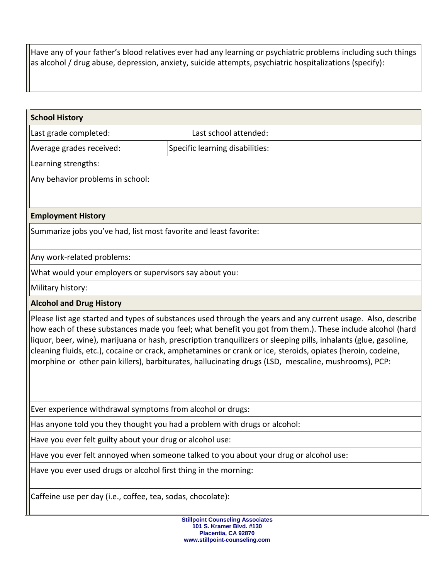Have any of your father's blood relatives ever had any learning or psychiatric problems including such things as alcohol / drug abuse, depression, anxiety, suicide attempts, psychiatric hospitalizations (specify):

# **School History** Last grade completed: Last school attended: Average grades received: Specific learning disabilities: Learning strengths: Any behavior problems in school: **Employment History** Summarize jobs you've had, list most favorite and least favorite: Any work-related problems: What would your employers or supervisors say about you: Military history: **Alcohol and Drug History**  Please list age started and types of substances used through the years and any current usage. Also, describe how each of these substances made you feel; what benefit you got from them.). These include alcohol (hard liquor, beer, wine), marijuana or hash, prescription tranquilizers or sleeping pills, inhalants (glue, gasoline, cleaning fluids, etc.), cocaine or crack, amphetamines or crank or ice, steroids, opiates (heroin, codeine, morphine or other pain killers), barbiturates, hallucinating drugs (LSD, mescaline, mushrooms), PCP: Ever experience withdrawal symptoms from alcohol or drugs: Has anyone told you they thought you had a problem with drugs or alcohol: Have you ever felt guilty about your drug or alcohol use: Have you ever felt annoyed when someone talked to you about your drug or alcohol use: Have you ever used drugs or alcohol first thing in the morning: Caffeine use per day (i.e., coffee, tea, sodas, chocolate):